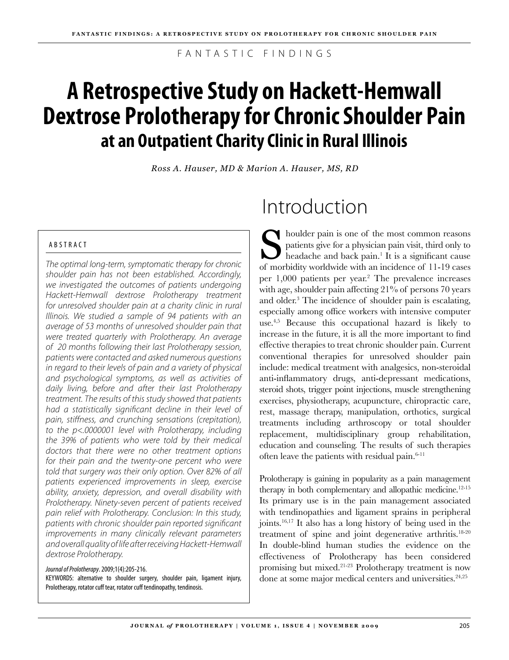F A N T A S T I C F I N D I N G S

# **A Retrospective Study on Hackett-Hemwall Dextrose Prolotherapy for Chronic Shoulder Pain at an Outpatient Charity Clinic in Rural Illinois**

*Ross A. Hauser, MD & Marion A. Hauser, MS, RD*

### A B S T R A C T

*The optimal long-term, symptomatic therapy for chronic shoulder pain has not been established. Accordingly, we investigated the outcomes of patients undergoing Hackett-Hemwall dextrose Prolotherapy treatment for unresolved shoulder pain at a charity clinic in rural Illinois. We studied a sample of 94 patients with an average of 53 months of unresolved shoulder pain that were treated quarterly with Prolotherapy. An average of 20 months following their last Prolotherapy session, patients were contacted and asked numerous questions in regard to their levels of pain and a variety of physical and psychological symptoms, as well as activities of daily living, before and after their last Prolotherapy treatment. The results of this study showed that patients had a statistically significant decline in their level of pain, stiffness, and crunching sensations (crepitation), to the p<.0000001 level with Prolotherapy, including the 39% of patients who were told by their medical doctors that there were no other treatment options for their pain and the twenty-one percent who were told that surgery was their only option. Over 82% of all patients experienced improvements in sleep, exercise ability, anxiety, depression, and overall disability with Prolotherapy. Ninety-seven percent of patients received pain relief with Prolotherapy. Conclusion: In this study, patients with chronic shoulder pain reported significant improvements in many clinically relevant parameters and overall quality of life after receiving Hackett-Hemwall dextrose Prolotherapy.*

*Journal of Prolotherapy*. 2009;1(4):205-216. KEYWORDS: alternative to shoulder surgery, shoulder pain, ligament injury, Prolotherapy, rotator cuff tear, rotator cuff tendinopathy, tendinosis.

# Introduction

Shoulder pain is one of the most common reasons<br>patients give for a physician pain visit, third only to<br>headache and back pain.<sup>1</sup> It is a significant cause patients give for a physician pain visit, third only to headache and back pain.<sup>1</sup> It is a significant cause of morbidity worldwide with an incidence of 11-19 cases per 1,000 patients per year.2 The prevalence increases with age, shoulder pain affecting 21% of persons 70 years and older.<sup>3</sup> The incidence of shoulder pain is escalating, especially among office workers with intensive computer use.4,5 Because this occupational hazard is likely to increase in the future, it is all the more important to find effective therapies to treat chronic shoulder pain. Current conventional therapies for unresolved shoulder pain include: medical treatment with analgesics, non-steroidal anti-inflammatory drugs, anti-depressant medications, steroid shots, trigger point injections, muscle strengthening exercises, physiotherapy, acupuncture, chiropractic care, rest, massage therapy, manipulation, orthotics, surgical treatments including arthroscopy or total shoulder replacement, multidisciplinary group rehabilitation, education and counseling. The results of such therapies often leave the patients with residual pain.<sup>6-11</sup>

Prolotherapy is gaining in popularity as a pain management therapy in both complementary and allopathic medicine.<sup>12-15</sup> Its primary use is in the pain management associated with tendinopathies and ligament sprains in peripheral joints.16,17 It also has a long history of being used in the treatment of spine and joint degenerative arthritis.<sup>18-20</sup> In double-blind human studies the evidence on the effectiveness of Prolotherapy has been considered promising but mixed.21-23 Prolotherapy treatment is now done at some major medical centers and universities.<sup>24,25</sup>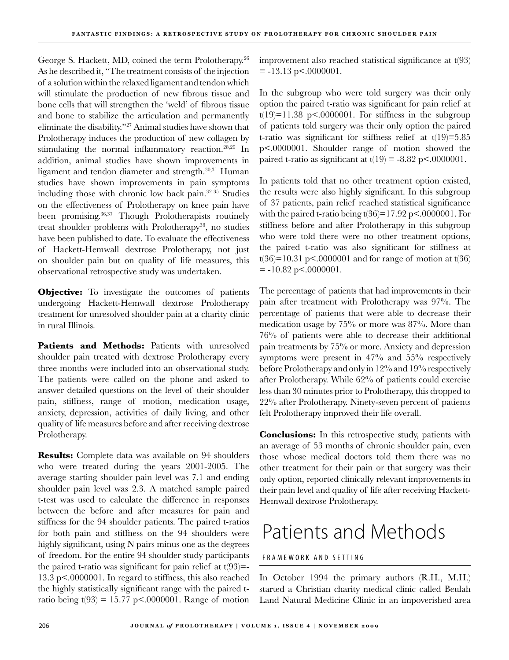George S. Hackett, MD, coined the term Prolotherapy.26 As he described it, "The treatment consists of the injection of a solution within the relaxed ligament and tendon which will stimulate the production of new fibrous tissue and bone cells that will strengthen the 'weld' of fibrous tissue and bone to stabilize the articulation and permanently eliminate the disability."27 Animal studies have shown that Prolotherapy induces the production of new collagen by stimulating the normal inflammatory reaction.28,29 In addition, animal studies have shown improvements in ligament and tendon diameter and strength.30,31 Human studies have shown improvements in pain symptoms including those with chronic low back pain.32-35 Studies on the effectiveness of Prolotherapy on knee pain have been promising.<sup>36,37</sup> Though Prolotherapists routinely treat shoulder problems with Prolotherapy<sup>38</sup>, no studies have been published to date. To evaluate the effectiveness of Hackett-Hemwall dextrose Prolotherapy, not just on shoulder pain but on quality of life measures, this observational retrospective study was undertaken.

**Objective:** To investigate the outcomes of patients undergoing Hackett-Hemwall dextrose Prolotherapy treatment for unresolved shoulder pain at a charity clinic in rural Illinois.

Patients and Methods: Patients with unresolved shoulder pain treated with dextrose Prolotherapy every three months were included into an observational study. The patients were called on the phone and asked to answer detailed questions on the level of their shoulder pain, stiffness, range of motion, medication usage, anxiety, depression, activities of daily living, and other quality of life measures before and after receiving dextrose Prolotherapy.

**Results:** Complete data was available on 94 shoulders who were treated during the years 2001-2005. The average starting shoulder pain level was 7.1 and ending shoulder pain level was 2.3. A matched sample paired t-test was used to calculate the difference in responses between the before and after measures for pain and stiffness for the 94 shoulder patients. The paired t-ratios for both pain and stiffness on the 94 shoulders were highly significant, using N pairs minus one as the degrees of freedom. For the entire 94 shoulder study participants the paired t-ratio was significant for pain relief at  $t(93)=$ 13.3 p<.0000001. In regard to stiffness, this also reached the highly statistically significant range with the paired tratio being  $t(93) = 15.77 \text{ p} < .0000001$ . Range of motion

improvement also reached statistical significance at t(93)  $= -13.13$  p $< .0000001$ .

In the subgroup who were told surgery was their only option the paired t-ratio was significant for pain relief at  $t(19)=11.38$  p<.0000001. For stiffness in the subgroup of patients told surgery was their only option the paired t-ratio was significant for stiffness relief at  $t(19)=5.85$ p<.0000001. Shoulder range of motion showed the paired t-ratio as significant at  $t(19) = -8.82$  p<.0000001.

In patients told that no other treatment option existed, the results were also highly significant. In this subgroup of 37 patients, pain relief reached statistical significance with the paired t-ratio being  $t(36)=17.92 \text{ p} < .0000001$ . For stiffness before and after Prolotherapy in this subgroup who were told there were no other treatment options, the paired t-ratio was also significant for stiffness at  $t(36)=10.31$  p<.0000001 and for range of motion at  $t(36)$  $= -10.82$  p $< .0000001$ .

The percentage of patients that had improvements in their pain after treatment with Prolotherapy was 97%. The percentage of patients that were able to decrease their medication usage by 75% or more was 87%. More than 76% of patients were able to decrease their additional pain treatments by 75% or more. Anxiety and depression symptoms were present in 47% and 55% respectively before Prolotherapy and only in 12% and 19% respectively after Prolotherapy. While 62% of patients could exercise less than 30 minutes prior to Prolotherapy, this dropped to 22% after Prolotherapy. Ninety-seven percent of patients felt Prolotherapy improved their life overall.

**Conclusions:** In this retrospective study, patients with an average of 53 months of chronic shoulder pain, even those whose medical doctors told them there was no other treatment for their pain or that surgery was their only option, reported clinically relevant improvements in their pain level and quality of life after receiving Hackett-Hemwall dextrose Prolotherapy.

# Patients and Methods

### FRAMEWORK AND SETTING

In October 1994 the primary authors (R.H., M.H.) started a Christian charity medical clinic called Beulah Land Natural Medicine Clinic in an impoverished area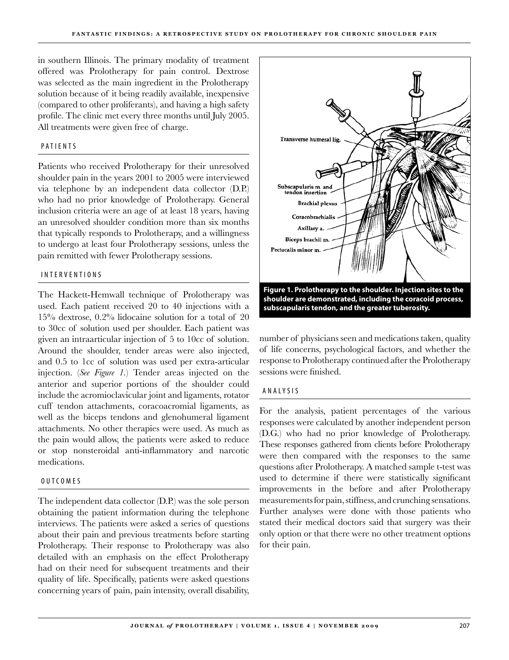in southern Illinois. The primary modality of treatment offered was Prolotherapy for pain control. Dextrose was selected as the main ingredient in the Prolotherapy solution because of it being readily available, inexpensive (compared to other proliferants), and having a high safety profile. The clinic met every three months until July 2005. All treatments were given free of charge.

#### PATIENTS

Patients who received Prolotherapy for their unresolved shoulder pain in the years 2001 to 2005 were interviewed via telephone by an independent data collector (D.P.) who had no prior knowledge of Prolotherapy. General inclusion criteria were an age of at least 18 years, having an unresolved shoulder condition more than six months that typically responds to Prolotherapy, and a willingness to undergo at least four Prolotherapy sessions, unless the pain remitted with fewer Prolotherapy sessions.

#### I n ter v e n t i o n s

The Hackett-Hemwall technique of Prolotherapy was used. Each patient received 20 to 40 injections with a 15% dextrose, 0.2% lidocaine solution for a total of 20 to 30cc of solution used per shoulder. Each patient was given an intraarticular injection of 5 to 10cc of solution. Around the shoulder, tender areas were also injected, and 0.5 to 1cc of solution was used per extra-articular injection. (*See Figure 1.*) Tender areas injected on the anterior and superior portions of the shoulder could include the acromioclavicular joint and ligaments, rotator cuff tendon attachments, coracoacromial ligaments, as well as the biceps tendons and glenohumeral ligament attachments. No other therapies were used. As much as the pain would allow, the patients were asked to reduce or stop nonsteroidal anti-inflammatory and narcotic medications.

#### O U T C O M E S

The independent data collector (D.P.) was the sole person obtaining the patient information during the telephone interviews. The patients were asked a series of questions about their pain and previous treatments before starting Prolotherapy. Their response to Prolotherapy was also detailed with an emphasis on the effect Prolotherapy had on their need for subsequent treatments and their quality of life. Specifically, patients were asked questions concerning years of pain, pain intensity, overall disability,



number of physicians seen and medications taken, quality of life concerns, psychological factors, and whether the response to Prolotherapy continued after the Prolotherapy sessions were finished.

#### A N A LYSIS

For the analysis, patient percentages of the various responses were calculated by another independent person (D.G.) who had no prior knowledge of Prolotherapy. These responses gathered from clients before Prolotherapy were then compared with the responses to the same questions after Prolotherapy. A matched sample t-test was used to determine if there were statistically significant improvements in the before and after Prolotherapy measurements for pain, stiffness, and crunching sensations. Further analyses were done with those patients who stated their medical doctors said that surgery was their only option or that there were no other treatment options for their pain.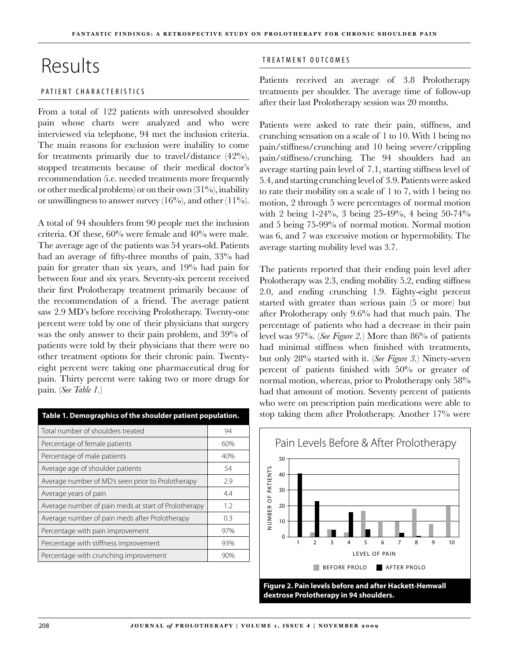# Results

### PATIENT CHARACTERISTICS

From a total of 122 patients with unresolved shoulder pain whose charts were analyzed and who were interviewed via telephone, 94 met the inclusion criteria. The main reasons for exclusion were inability to come for treatments primarily due to travel/distance (42%), stopped treatments because of their medical doctor's recommendation (i.e. needed treatments more frequently or other medical problems) or on their own  $(31\%)$ , inability or unwillingness to answer survey  $(16\%)$ , and other  $(11\%)$ .

A total of 94 shoulders from 90 people met the inclusion criteria. Of these, 60% were female and 40% were male. The average age of the patients was 54 years-old. Patients had an average of fifty-three months of pain, 33% had pain for greater than six years, and 19% had pain for between four and six years. Seventy-six percent received their first Prolotherapy treatment primarily because of the recommendation of a friend. The average patient saw 2.9 MD's before receiving Prolotherapy. Twenty-one percent were told by one of their physicians that surgery was the only answer to their pain problem, and 39% of patients were told by their physicians that there were no other treatment options for their chronic pain. Twentyeight percent were taking one pharmaceutical drug for pain. Thirty percent were taking two or more drugs for pain. (*See Table 1.*)

| Table 1. Demographics of the shoulder patient population. |     |  |
|-----------------------------------------------------------|-----|--|
| Total number of shoulders treated                         | 94  |  |
| Percentage of female patients                             | 60% |  |
| Percentage of male patients                               | 40% |  |
| Average age of shoulder patients                          | 54  |  |
| Average number of MD's seen prior to Prolotherapy         | 2.9 |  |
| Average years of pain                                     | 4.4 |  |
| Average number of pain meds at start of Prolotherapy      | 1.2 |  |
| Average number of pain meds after Prolotherapy            | 0.3 |  |
| Percentage with pain improvement                          | 97% |  |
| Percentage with stiffness improvement                     | 93% |  |
| Percentage with crunching improvement                     | 90% |  |

### TREATMENT OUTCOMES

Patients received an average of 3.8 Prolotherapy treatments per shoulder. The average time of follow-up after their last Prolotherapy session was 20 months.

Patients were asked to rate their pain, stiffness, and crunching sensation on a scale of 1 to 10. With 1 being no pain/stiffness/crunching and 10 being severe/crippling pain/stiffness/crunching. The 94 shoulders had an average starting pain level of 7.1, starting stiffness level of 5.4, and starting crunching level of 3.9. Patients were asked to rate their mobility on a scale of 1 to 7, with 1 being no motion, 2 through 5 were percentages of normal motion with 2 being 1-24%, 3 being 25-49%, 4 being 50-74% and 5 being 75-99% of normal motion. Normal motion was 6, and 7 was excessive motion or hypermobility. The average starting mobility level was 3.7.

The patients reported that their ending pain level after Prolotherapy was 2.3, ending mobility 5.2, ending stiffness 2.0, and ending crunching 1.9. Eighty-eight percent started with greater than serious pain (5 or more) but after Prolotherapy only 9.6% had that much pain. The percentage of patients who had a decrease in their pain level was 97%. (*See Figure 2.*) More than 86% of patients had minimal stiffness when finished with treatments, but only 28% started with it. (*See Figure 3.*) Ninety-seven percent of patients finished with 50% or greater of normal motion, whereas, prior to Prolotherapy only 58% had that amount of motion. Seventy percent of patients who were on prescription pain medications were able to stop taking them after Prolotherapy. Another 17% were



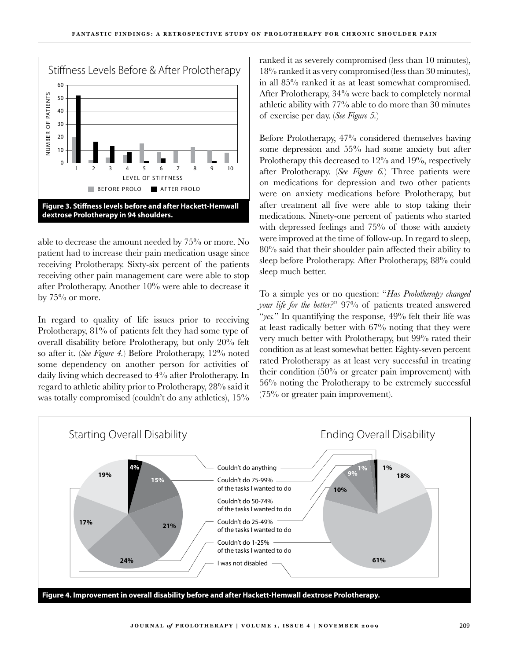

able to decrease the amount needed by 75% or more. No patient had to increase their pain medication usage since receiving Prolotherapy. Sixty-six percent of the patients receiving other pain management care were able to stop after Prolotherapy. Another 10% were able to decrease it by  $75\%$  or more.

In regard to quality of life issues prior to receiving Prolotherapy, 81% of patients felt they had some type of overall disability before Prolotherapy, but only 20% felt so after it. (*See Figure 4.*) Before Prolotherapy, 12% noted some dependency on another person for activities of daily living which decreased to 4% after Prolotherapy. In regard to athletic ability prior to Prolotherapy, 28% said it was totally compromised (couldn't do any athletics),  $15\%$ 

ranked it as severely compromised (less than 10 minutes), 18% ranked it as very compromised (less than 30 minutes), in all 85% ranked it as at least somewhat compromised. After Prolotherapy, 34% were back to completely normal athletic ability with 77% able to do more than 30 minutes of exercise per day. (*See Figure 5.*)

Before Prolotherapy, 47% considered themselves having some depression and 55% had some anxiety but after Prolotherapy this decreased to 12% and 19%, respectively after Prolotherapy. (*See Figure 6.*) Three patients were on medications for depression and two other patients were on anxiety medications before Prolotherapy, but after treatment all five were able to stop taking their medications. Ninety-one percent of patients who started with depressed feelings and 75% of those with anxiety were improved at the time of follow-up. In regard to sleep, 80% said that their shoulder pain affected their ability to sleep before Prolotherapy. After Prolotherapy, 88% could sleep much better.

To a simple yes or no question: "*Has Prolotherapy changed your life for the better.*" 97% of patients treated answered "*yes.*" In quantifying the response, 49% felt their life was at least radically better with 67% noting that they were very much better with Prolotherapy, but 99% rated their condition as at least somewhat better. Eighty-seven percent rated Prolotherapy as at least very successful in treating their condition (50% or greater pain improvement) with 56% noting the Prolotherapy to be extremely successful (75% or greater pain improvement).

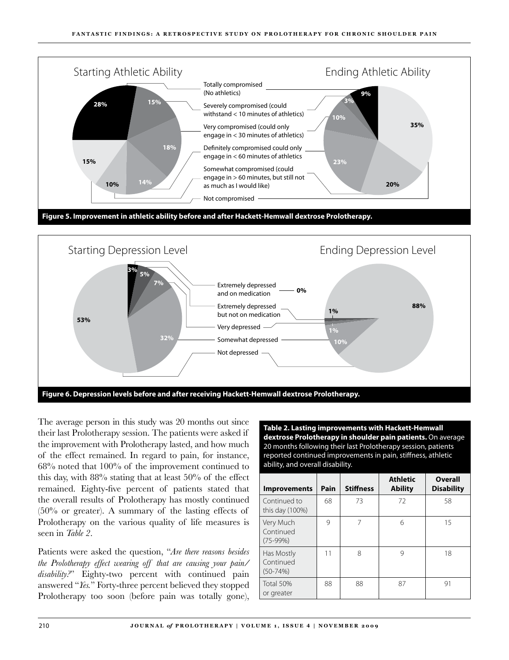



The average person in this study was 20 months out since their last Prolotherapy session. The patients were asked if the improvement with Prolotherapy lasted, and how much of the effect remained. In regard to pain, for instance, 68% noted that 100% of the improvement continued to this day, with 88% stating that at least 50% of the effect remained. Eighty-five percent of patients stated that the overall results of Prolotherapy has mostly continued (50% or greater). A summary of the lasting effects of Prolotherapy on the various quality of life measures is seen in *Table 2*.

Patients were asked the question, "*Are there reasons besides the Prolotherapy effect wearing off that are causing your pain/ disability?*" Eighty-two percent with continued pain answered "*Yes.*" Forty-three percent believed they stopped Prolotherapy too soon (before pain was totally gone),

**Table 2. Lasting improvements with Hackett-Hemwall dextrose Prolotherapy in shoulder pain patients.** On average 20 months following their last Prolotherapy session, patients reported continued improvements in pain, stiffness, athletic ability, and overall disability.

| <b>Improvements</b>                   | Pain | <b>Stiffness</b>      | <b>Athletic</b><br><b>Ability</b> | Overall<br><b>Disability</b> |
|---------------------------------------|------|-----------------------|-----------------------------------|------------------------------|
| Continued to<br>this day (100%)       | 68   | 73                    | 72                                | 58                           |
| Very Much<br>Continued<br>$(75-99%)$  | 9    |                       | 6                                 | 15                           |
| Has Mostly<br>Continued<br>$(50-74%)$ | 11   | $\mathsf{\mathsf{R}}$ | q                                 | 18                           |
| Total 50%<br>or greater               | 88   | 88                    | 87                                | 91                           |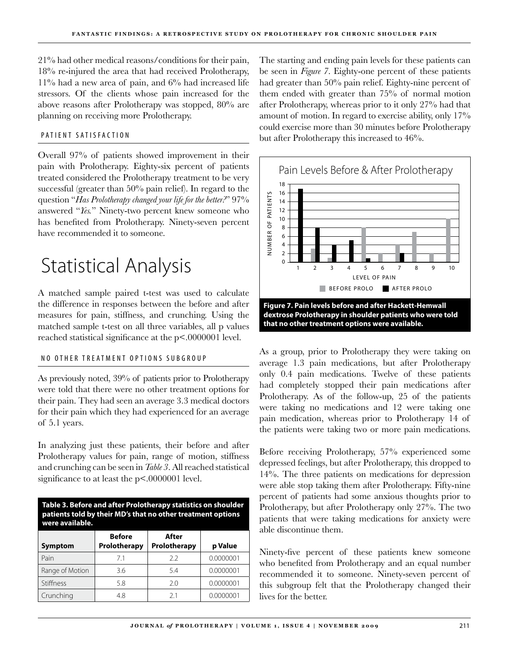21% had other medical reasons/conditions for their pain, 18% re-injured the area that had received Prolotherapy, 11% had a new area of pain, and 6% had increased life stressors. Of the clients whose pain increased for the above reasons after Prolotherapy was stopped, 80% are planning on receiving more Prolotherapy.

### PATIENT SATISFACTION

Overall 97% of patients showed improvement in their pain with Prolotherapy. Eighty-six percent of patients treated considered the Prolotherapy treatment to be very successful (greater than 50% pain relief). In regard to the question "*Has Prolotherapy changed your life for the better?*" 97% answered "*Yes.*" Ninety-two percent knew someone who has benefited from Prolotherapy. Ninety-seven percent have recommended it to someone.

# Statistical Analysis

A matched sample paired t-test was used to calculate the difference in responses between the before and after measures for pain, stiffness, and crunching. Using the matched sample t-test on all three variables, all p values reached statistical significance at the p<.0000001 level.

### NO OTHER TREATMENT OPTIONS SUBGROUP

As previously noted, 39% of patients prior to Prolotherapy were told that there were no other treatment options for their pain. They had seen an average 3.3 medical doctors for their pain which they had experienced for an average of 5.1 years.

In analyzing just these patients, their before and after Prolotherapy values for pain, range of motion, stiffness and crunching can be seen in *Table 3*. All reached statistical significance to at least the p<.0000001 level.

| Table 3. Before and after Prolotherapy statistics on shoulder<br>patients told by their MD's that no other treatment options<br>were available. |                               |                       |           |
|-------------------------------------------------------------------------------------------------------------------------------------------------|-------------------------------|-----------------------|-----------|
| <b>Symptom</b>                                                                                                                                  | <b>Before</b><br>Prolotherapy | After<br>Prolotherapy |           |
| Pain                                                                                                                                            | 71                            | 22                    | 0.0000001 |
| Range of Motion                                                                                                                                 | 36                            | 54                    | 0.0000001 |
| Stiffness                                                                                                                                       | 58                            | 20                    | 0.0000001 |
| Crunching                                                                                                                                       | 48                            | 21                    | 0.0000001 |

The starting and ending pain levels for these patients can be seen in *Figure 7*. Eighty-one percent of these patients had greater than 50% pain relief. Eighty-nine percent of them ended with greater than 75% of normal motion after Prolotherapy, whereas prior to it only 27% had that amount of motion. In regard to exercise ability, only 17% could exercise more than 30 minutes before Prolotherapy but after Prolotherapy this increased to 46%.



As a group, prior to Prolotherapy they were taking on average 1.3 pain medications, but after Prolotherapy only 0.4 pain medications. Twelve of these patients had completely stopped their pain medications after Prolotherapy. As of the follow-up, 25 of the patients were taking no medications and 12 were taking one pain medication, whereas prior to Prolotherapy 14 of the patients were taking two or more pain medications.

Before receiving Prolotherapy, 57% experienced some depressed feelings, but after Prolotherapy, this dropped to 14%. The three patients on medications for depression were able stop taking them after Prolotherapy. Fifty-nine percent of patients had some anxious thoughts prior to Prolotherapy, but after Prolotherapy only 27%. The two patients that were taking medications for anxiety were able discontinue them.

Ninety-five percent of these patients knew someone who benefited from Prolotherapy and an equal number recommended it to someone. Ninety-seven percent of this subgroup felt that the Prolotherapy changed their lives for the better.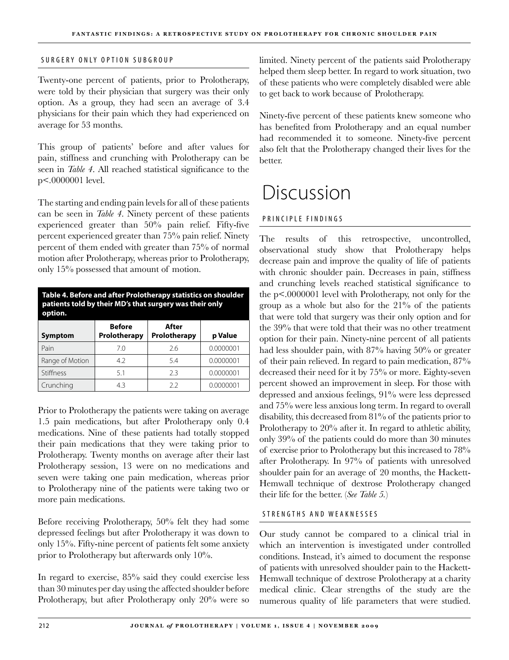### SURGERY ONLY OPTION SUBGROUP

Twenty-one percent of patients, prior to Prolotherapy, were told by their physician that surgery was their only option. As a group, they had seen an average of 3.4 physicians for their pain which they had experienced on average for 53 months.

This group of patients' before and after values for pain, stiffness and crunching with Prolotherapy can be seen in *Table 4*. All reached statistical significance to the p<.0000001 level.

The starting and ending pain levels for all of these patients can be seen in *Table 4*. Ninety percent of these patients experienced greater than 50% pain relief. Fifty-five percent experienced greater than 75% pain relief. Ninety percent of them ended with greater than 75% of normal motion after Prolotherapy, whereas prior to Prolotherapy, only 15% possessed that amount of motion.

| Table 4. Before and after Prolotherapy statistics on shoulder<br>patients told by their MD's that surgery was their only<br>option. |                               |                       |           |
|-------------------------------------------------------------------------------------------------------------------------------------|-------------------------------|-----------------------|-----------|
| <b>Symptom</b>                                                                                                                      | <b>Before</b><br>Prolotherapy | After<br>Prolotherapy | p Value   |
| Pain                                                                                                                                | 70                            | 2.6                   | 0.0000001 |
| Range of Motion                                                                                                                     | 42                            | 54                    | 0.0000001 |
| <b>Stiffness</b>                                                                                                                    | 51                            | 2.3                   | 0.0000001 |
| Crunching                                                                                                                           | 43                            | 2.2                   | 0.0000001 |

Prior to Prolotherapy the patients were taking on average 1.5 pain medications, but after Prolotherapy only 0.4 medications. Nine of these patients had totally stopped their pain medications that they were taking prior to Prolotherapy. Twenty months on average after their last Prolotherapy session, 13 were on no medications and seven were taking one pain medication, whereas prior to Prolotherapy nine of the patients were taking two or more pain medications.

Before receiving Prolotherapy, 50% felt they had some depressed feelings but after Prolotherapy it was down to only 15%. Fifty-nine percent of patients felt some anxiety prior to Prolotherapy but afterwards only 10%.

In regard to exercise, 85% said they could exercise less than 30 minutes per day using the affected shoulder before Prolotherapy, but after Prolotherapy only 20% were so

limited. Ninety percent of the patients said Prolotherapy helped them sleep better. In regard to work situation, two of these patients who were completely disabled were able to get back to work because of Prolotherapy.

Ninety-five percent of these patients knew someone who has benefited from Prolotherapy and an equal number had recommended it to someone. Ninety-five percent also felt that the Prolotherapy changed their lives for the better.

# Discussion

### P R I N C I P I F F I N D I N G S

The results of this retrospective, uncontrolled, observational study show that Prolotherapy helps decrease pain and improve the quality of life of patients with chronic shoulder pain. Decreases in pain, stiffness and crunching levels reached statistical significance to the p<.0000001 level with Prolotherapy, not only for the group as a whole but also for the 21% of the patients that were told that surgery was their only option and for the 39% that were told that their was no other treatment option for their pain. Ninety-nine percent of all patients had less shoulder pain, with 87% having 50% or greater of their pain relieved. In regard to pain medication, 87% decreased their need for it by 75% or more. Eighty-seven percent showed an improvement in sleep. For those with depressed and anxious feelings, 91% were less depressed and 75% were less anxious long term. In regard to overall disability, this decreased from 81% of the patients prior to Prolotherapy to 20% after it. In regard to athletic ability, only 39% of the patients could do more than 30 minutes of exercise prior to Prolotherapy but this increased to 78% after Prolotherapy. In 97% of patients with unresolved shoulder pain for an average of 20 months, the Hackett-Hemwall technique of dextrose Prolotherapy changed their life for the better. (*See Table 5.*)

### STRENGTHS AND WEAKNESSES

Our study cannot be compared to a clinical trial in which an intervention is investigated under controlled conditions. Instead, it's aimed to document the response of patients with unresolved shoulder pain to the Hackett-Hemwall technique of dextrose Prolotherapy at a charity medical clinic. Clear strengths of the study are the numerous quality of life parameters that were studied.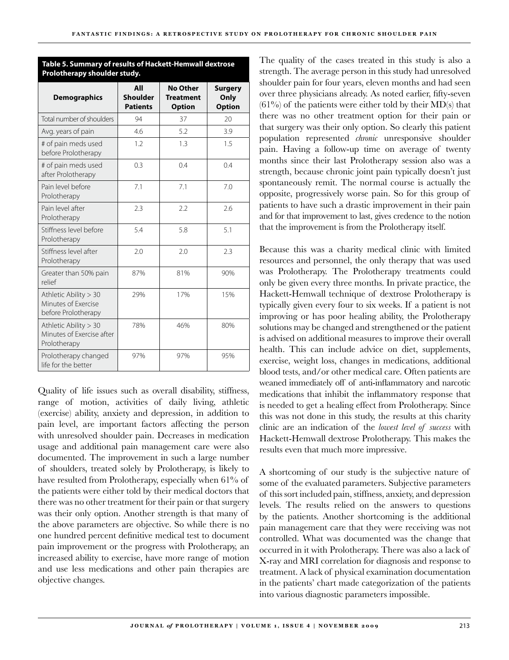| <b>Demographics</b>                                                 | All<br><b>Shoulder</b><br><b>Patients</b> | <b>No Other</b><br><b>Treatment</b><br><b>Option</b> | <b>Surgery</b><br>Only<br><b>Option</b> |
|---------------------------------------------------------------------|-------------------------------------------|------------------------------------------------------|-----------------------------------------|
| Total number of shoulders                                           | 94                                        | 37                                                   | 20                                      |
| Avg. years of pain                                                  | 4.6                                       | 5.2                                                  | 3.9                                     |
| # of pain meds used<br>before Prolotherapy                          | 1.2                                       | 1.3                                                  | 1.5                                     |
| # of pain meds used<br>after Prolotherapy                           | 0.3                                       | 0.4                                                  | 0.4                                     |
| Pain level before<br>Prolotherapy                                   | 7.1                                       | 7.1                                                  | 7.0                                     |
| Pain level after<br>Prolotherapy                                    | 2.3                                       | 2.2                                                  | 2.6                                     |
| Stiffness level before<br>Prolotherapy                              | 5.4                                       | 5.8                                                  | 5.1                                     |
| Stiffness level after<br>Prolotherapy                               | 2.0                                       | 2.0                                                  | 2.3                                     |
| Greater than 50% pain<br>relief                                     | 87%                                       | 81%                                                  | 90%                                     |
| Athletic Ability > 30<br>Minutes of Exercise<br>before Prolotherapy | 29%                                       | 17%                                                  | 15%                                     |
| Athletic Ability > 30<br>Minutes of Exercise after<br>Prolotherapy  | 78%                                       | 46%                                                  | 80%                                     |
| Prolotherapy changed<br>life for the better                         | 97%                                       | 97%                                                  | 95%                                     |

**Table 5. Summary of results of Hackett-Hemwall dextrose** 

**Prolotherapy shoulder study.**

Quality of life issues such as overall disability, stiffness, range of motion, activities of daily living, athletic (exercise) ability, anxiety and depression, in addition to pain level, are important factors affecting the person with unresolved shoulder pain. Decreases in medication usage and additional pain management care were also documented. The improvement in such a large number of shoulders, treated solely by Prolotherapy, is likely to have resulted from Prolotherapy, especially when 61% of the patients were either told by their medical doctors that there was no other treatment for their pain or that surgery was their only option. Another strength is that many of the above parameters are objective. So while there is no one hundred percent definitive medical test to document pain improvement or the progress with Prolotherapy, an increased ability to exercise, have more range of motion and use less medications and other pain therapies are objective changes.

The quality of the cases treated in this study is also a strength. The average person in this study had unresolved shoulder pain for four years, eleven months and had seen over three physicians already. As noted earlier, fifty-seven  $(61\%)$  of the patients were either told by their MD(s) that there was no other treatment option for their pain or that surgery was their only option. So clearly this patient population represented *chronic* unresponsive shoulder pain. Having a follow-up time on average of twenty months since their last Prolotherapy session also was a strength, because chronic joint pain typically doesn't just spontaneously remit. The normal course is actually the opposite, progressively worse pain. So for this group of patients to have such a drastic improvement in their pain and for that improvement to last, gives credence to the notion that the improvement is from the Prolotherapy itself.

Because this was a charity medical clinic with limited resources and personnel, the only therapy that was used was Prolotherapy. The Prolotherapy treatments could only be given every three months. In private practice, the Hackett-Hemwall technique of dextrose Prolotherapy is typically given every four to six weeks. If a patient is not improving or has poor healing ability, the Prolotherapy solutions may be changed and strengthened or the patient is advised on additional measures to improve their overall health. This can include advice on diet, supplements, exercise, weight loss, changes in medications, additional blood tests, and/or other medical care. Often patients are weaned immediately off of anti-inflammatory and narcotic medications that inhibit the inflammatory response that is needed to get a healing effect from Prolotherapy. Since this was not done in this study, the results at this charity clinic are an indication of the *lowest level of success* with Hackett-Hemwall dextrose Prolotherapy. This makes the results even that much more impressive.

A shortcoming of our study is the subjective nature of some of the evaluated parameters. Subjective parameters of this sort included pain, stiffness, anxiety, and depression levels. The results relied on the answers to questions by the patients. Another shortcoming is the additional pain management care that they were receiving was not controlled. What was documented was the change that occurred in it with Prolotherapy. There was also a lack of X-ray and MRI correlation for diagnosis and response to treatment. A lack of physical examination documentation in the patients' chart made categorization of the patients into various diagnostic parameters impossible.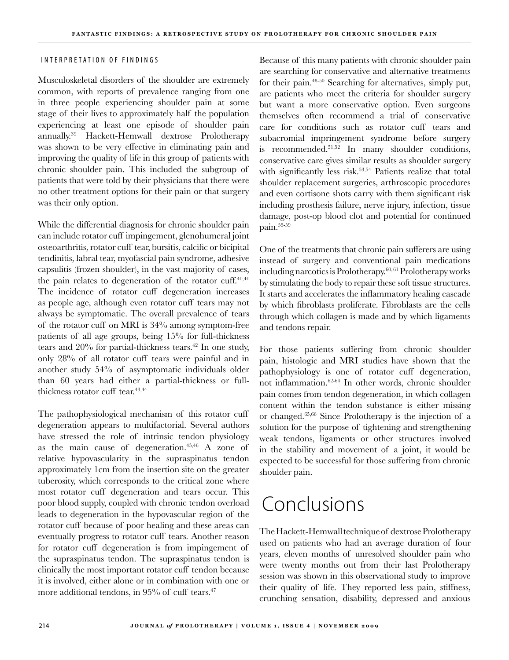### INTERPRETATION OF FINDINGS

Musculoskeletal disorders of the shoulder are extremely common, with reports of prevalence ranging from one in three people experiencing shoulder pain at some stage of their lives to approximately half the population experiencing at least one episode of shoulder pain annually.39 Hackett-Hemwall dextrose Prolotherapy was shown to be very effective in eliminating pain and improving the quality of life in this group of patients with chronic shoulder pain. This included the subgroup of patients that were told by their physicians that there were no other treatment options for their pain or that surgery was their only option.

While the differential diagnosis for chronic shoulder pain can include rotator cuff impingement, glenohumeral joint osteoarthritis, rotator cuff tear, bursitis, calcific or bicipital tendinitis, labral tear, myofascial pain syndrome, adhesive capsulitis (frozen shoulder), in the vast majority of cases, the pain relates to degeneration of the rotator cuff. $40,41$ The incidence of rotator cuff degeneration increases as people age, although even rotator cuff tears may not always be symptomatic. The overall prevalence of tears of the rotator cuff on MRI is 34% among symptom-free patients of all age groups, being 15% for full-thickness tears and 20% for partial-thickness tears.<sup>42</sup> In one study, only 28% of all rotator cuff tears were painful and in another study 54% of asymptomatic individuals older than 60 years had either a partial-thickness or fullthickness rotator cuff tear.<sup>43,44</sup>

The pathophysiological mechanism of this rotator cuff degeneration appears to multifactorial. Several authors have stressed the role of intrinsic tendon physiology as the main cause of degeneration.45,46 A zone of relative hypovascularity in the supraspinatus tendon approximately 1cm from the insertion site on the greater tuberosity, which corresponds to the critical zone where most rotator cuff degeneration and tears occur. This poor blood supply, coupled with chronic tendon overload leads to degeneration in the hypovascular region of the rotator cuff because of poor healing and these areas can eventually progress to rotator cuff tears. Another reason for rotator cuff degeneration is from impingement of the supraspinatus tendon. The supraspinatus tendon is clinically the most important rotator cuff tendon because it is involved, either alone or in combination with one or more additional tendons, in 95% of cuff tears.<sup>47</sup>

Because of this many patients with chronic shoulder pain are searching for conservative and alternative treatments for their pain.48-50 Searching for alternatives, simply put, are patients who meet the criteria for shoulder surgery but want a more conservative option. Even surgeons themselves often recommend a trial of conservative care for conditions such as rotator cuff tears and subacromial impringement syndrome before surgery is recommended.51,52 In many shoulder conditions, conservative care gives similar results as shoulder surgery with significantly less risk.<sup>53,54</sup> Patients realize that total shoulder replacement surgeries, arthroscopic procedures and even cortisone shots carry with them significant risk including prosthesis failure, nerve injury, infection, tissue damage, post-op blood clot and potential for continued pain.55-59

One of the treatments that chronic pain sufferers are using instead of surgery and conventional pain medications including narcotics is Prolotherapy.60, 61 Prolotherapy works by stimulating the body to repair these soft tissue structures. It starts and accelerates the inflammatory healing cascade by which fibroblasts proliferate. Fibroblasts are the cells through which collagen is made and by which ligaments and tendons repair.

For those patients suffering from chronic shoulder pain, histologic and MRI studies have shown that the pathophysiology is one of rotator cuff degeneration, not inflammation.62-64 In other words, chronic shoulder pain comes from tendon degeneration, in which collagen content within the tendon substance is either missing or changed.65,66 Since Prolotherapy is the injection of a solution for the purpose of tightening and strengthening weak tendons, ligaments or other structures involved in the stability and movement of a joint, it would be expected to be successful for those suffering from chronic shoulder pain.

# Conclusions

The Hackett-Hemwall technique of dextrose Prolotherapy used on patients who had an average duration of four years, eleven months of unresolved shoulder pain who were twenty months out from their last Prolotherapy session was shown in this observational study to improve their quality of life. They reported less pain, stiffness, crunching sensation, disability, depressed and anxious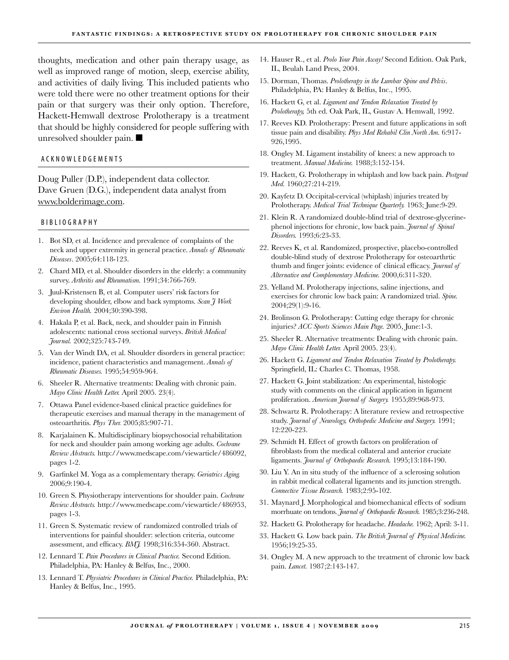thoughts, medication and other pain therapy usage, as well as improved range of motion, sleep, exercise ability, and activities of daily living. This included patients who were told there were no other treatment options for their pain or that surgery was their only option. Therefore, Hackett-Hemwall dextrose Prolotherapy is a treatment that should be highly considered for people suffering with unresolved shoulder pain.  $\blacksquare$ 

#### A C K N O W L E D G E M E N T S

Doug Puller (D.P.), independent data collector. Dave Gruen (D.G.), independent data analyst from www.bolderimage.com.

#### B I B LI O G R A P H Y

- 1. Bot SD, et al. Incidence and prevalence of complaints of the neck and upper extremity in general practice. *Annals of Rheumatic Diseases*. 2005;64:118-123.
- Chard MD, et al. Shoulder disorders in the elderly: a community 2. survey. *Arthritis and Rheumatism.* 1991;34:766-769.
- Juul-Kristensen B, et al. Computer users' risk factors for 3. developing shoulder, elbow and back symptoms. *Scan J Work Environ Health.* 2004;30:390-398.
- 4. Hakala P, et al. Back, neck, and shoulder pain in Finnish adolescents: national cross sectional surveys. *British Medical Journal.* 2002;325:743-749.
- 5. Van der Windt DA, et al. Shoulder disorders in general practice: incidence, patient characteristics and management. *Annals of Rheumatic Diseases.* 1995;54:959-964.
- 6. Sheeler R. Alternative treatments: Dealing with chronic pain. *Mayo Clinic Health Letter.* April 2005. 23(4).
- Ottawa Panel evidence-based clinical practice guidelines for 7. therapeutic exercises and manual therapy in the management of osteoarthritis. *Phys Ther.* 2005;85:907-71.
- 8. Karjalainen K. Multidisciplinary biopsychosocial rehabilitation for neck and shoulder pain among working age adults. *Cochrane Review Abstracts.* http://www.medscape.com/viewarticle/486092, pages 1-2.
- Garfinkel M. Yoga as a complementary therapy. *Geriatrics Aging.* 9. 2006;9:190-4.
- 10. Green S. Physiotherapy interventions for shoulder pain. *Cochrane Review Abstracts.* http://www.medscape.com/viewarticle/486953, pages 1-3.
- 11. Green S. Systematic review of randomized controlled trials of interventions for painful shoulder: selection criteria, outcome assessment, and efficacy. *BMJ.* 1998;316:354-360. Abstract.
- Lennard T. *Pain Procedures in Clinical Practice.* Second Edition. 12. Philadelphia, PA: Hanley & Belfus, Inc., 2000.
- Lennard T. *Physiatric Procedures in Clinical Practice.* Philadelphia, PA: 13. Hanley & Belfus, Inc., 1995.
- 14. Hauser R., et al. Prolo Your Pain Away! Second Edition. Oak Park, IL, Beulah Land Press, 2004.
- 15. Dorman, Thomas. Prolotherapy in the Lumbar Spine and Pelvis. Philadelphia, PA: Hanley & Belfus, Inc., 1995.
- 16. Hackett G, et al. *Ligament and Tendon Relaxation Treated by Prolotherapy,* 5th ed. Oak Park, IL, Gustav A. Hemwall, 1992.
- 17. Reeves KD. Prolotherapy: Present and future applications in soft tissue pain and disability. *Phys Med Rehabil Clin North Am.* 6:917- 926,1995.
- 18. Ongley M. Ligament instability of knees: a new approach to treatment. *Manual Medicine.* 1988;3:152-154.
- 19. Hackett, G. Prolotherapy in whiplash and low back pain. *Postgrad Med.* 1960;27:214-219.
- 20. Kayfetz D. Occipital-cervical (whiplash) injuries treated by Prolotherapy. *Medical Trial Technique Quarterly.* 1963; June:9-29.
- 21. Klein R. A randomized double-blind trial of dextrose-glycerinephenol injections for chronic, low back pain. *Journal of Spinal Disorders.* 1993;6:23-33.
- 22. Reeves K, et al. Randomized, prospective, placebo-controlled double-blind study of dextrose Prolotherapy for osteoarthrtic thumb and finger joints: evidence of clinical efficacy. *Journal of Alternative and Complementary Medicine.* 2000,6:311-320.
- 23. Yelland M. Prolotherapy injections, saline injections, and exercises for chronic low back pain: A randomized trial. *Spine.* 2004;29(1):9-16.
- 24. Brolinson G. Prolotherapy: Cutting edge therapy for chronic injuries? *ACC Sports Sciences Main Page.* 2005, June:1-3.
- 25. Sheeler R. Alternative treatments: Dealing with chronic pain. *Mayo Clinic Health Letter.* April 2005. 23(4).
- 26. Hackett G. Ligament and Tendon Relaxation Treated by Prolotherapy. Springfield, IL: Charles C. Thomas, 1958.
- 27. Hackett G. Joint stabilization: An experimental, histologic study with comments on the clinical application in ligament proliferation. *American Journal of Surgery.* 1955;89:968-973.
- 28. Schwartz R. Prolotherapy: A literature review and retrospective study. *Journal of Neurology, Orthopedic Medicine and Surgery.* 1991; 12:220-223.
- 29. Schmidt H. Effect of growth factors on proliferation of fibroblasts from the medical collateral and anterior cruciate ligaments. *Journal of Orthopaedic Research.* 1995;13:184-190.
- 30. Liu Y. An in situ study of the influence of a sclerosing solution in rabbit medical collateral ligaments and its junction strength. *Connective Tissue Research.* 1983;2:95-102.
- 31. Maynard J. Morphological and biomechanical effects of sodium morrhuate on tendons. *Journal of Orthopaedic Research.* 1985;3:236-248.
- 32. Hackett G. Prolotherapy for headache. Headache. 1962; April: 3-11.
- Hackett G. Low back pain. *The British Journal of Physical Medicine.* 33. 1956;19:25-35.
- 34. Ongley M. A new approach to the treatment of chronic low back pain. *Lancet.* 1987;2:143-147.